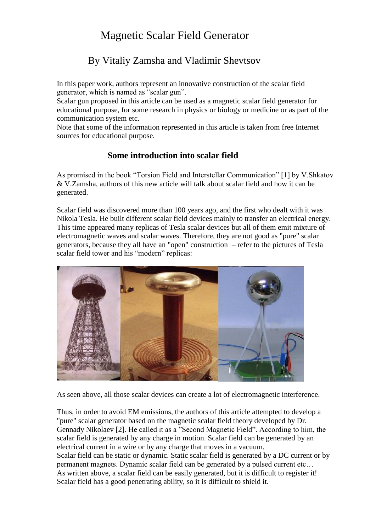# Magnetic Scalar Field Generator

## By Vitaliy Zamsha and Vladimir Shevtsov

In this paper work, authors represent an innovative construction of the scalar field generator, which is named as "scalar gun".

Scalar gun proposed in this article can be used as a magnetic scalar field generator for educational purpose, for some research in physics or biology or medicine or as part of the communication system etc.

Note that some of the information represented in this article is taken from free Internet sources for educational purpose.

### **Some introduction into scalar field**

As promised in the book "Torsion Field and Interstellar Communication" [1] by V.Shkatov & V.Zamsha, authors of this new article will talk about scalar field and how it can be generated.

Scalar field was discovered more than 100 years ago, and the first who dealt with it was Nikola Tesla. He built different scalar field devices mainly to transfer an electrical energy. This time appeared many replicas of Tesla scalar devices but all of them emit mixture of electromagnetic waves and scalar waves. Therefore, they are not good as "pure" scalar generators, because they all have an "open" construction – refer to the pictures of Tesla scalar field tower and his "modern" replicas:



As seen above, all those scalar devices can create a lot of electromagnetic interference.

Thus, in order to avoid EM emissions, the authors of this article attempted to develop a "pure" scalar generator based on the magnetic scalar field theory developed by Dr. Gennady Nikolaev [2]. He called it as a "Second Magnetic Field". According to him, the scalar field is generated by any charge in motion. Scalar field can be generated by an electrical current in a wire or by any charge that moves in a vacuum. Scalar field can be static or dynamic. Static scalar field is generated by a DC current or by permanent magnets. Dynamic scalar field can be generated by a pulsed current etc… As written above, a scalar field can be easily generated, but it is difficult to register it! Scalar field has a good penetrating ability, so it is difficult to shield it.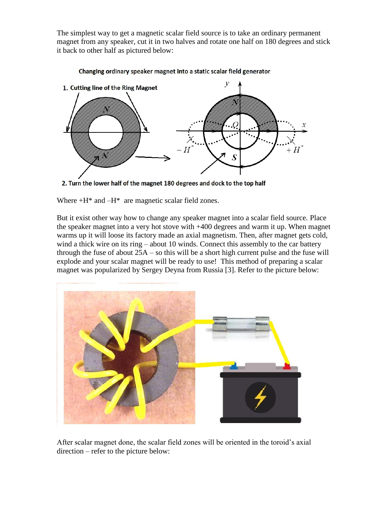The simplest way to get a magnetic scalar field source is to take an ordinary permanent magnet from any speaker, cut it in two halves and rotate one half on 180 degrees and stick it back to other half as pictured below:



#### Changing ordinary speaker magnet into a static scalar field generator

2. Turn the lower half of the magnet 180 degrees and dock to the top half

Where  $+H^*$  and  $-H^*$  are magnetic scalar field zones.

But it exist other way how to change any speaker magnet into a scalar field source. Place the speaker magnet into a very hot stove with +400 degrees and warm it up. When magnet warms up it will loose its factory made an axial magnetism. Then, after magnet gets cold, wind a thick wire on its ring – about 10 winds. Connect this assembly to the car battery through the fuse of about  $25A -$ so this will be a short high current pulse and the fuse will explode and your scalar magnet will be ready to use! This method of preparing a scalar magnet was popularized by Sergey Deyna from Russia [3]. Refer to the picture below:



After scalar magnet done, the scalar field zones will be oriented in the toroid's axial direction – refer to the picture below: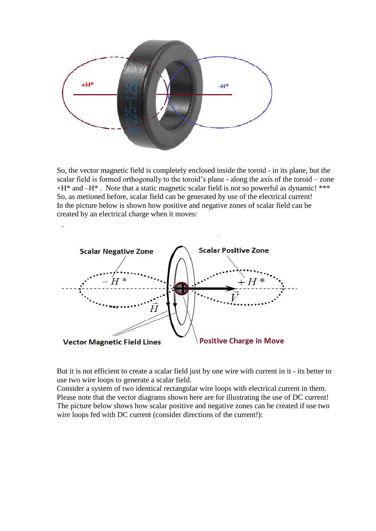

So, the vector magnetic field is completely enclosed inside the toroid - in its plane, but the scalar field is formed orthogonally to the toroid's plane - along the axis of the toroid – zone  $+H^*$  and  $-H^*$ . Note that a static magnetic scalar field is not so powerful as dynamic! \*\*\* So, as metioned before, scalar field can be generated by use of the electrical current! In the picture below is shown how positive and negative zones of scalar field can be created by an electrical charge when it moves:



But it is not efficient to create a scalar field just by one wire with current in it - its better to use two wire loops to generate a scalar field.

Consider a system of two identical rectangular wire loops with electrical current in them. Please note that the vector diagrams shown here are for illustrating the use of DC current! The picture below shows how scalar positive and negative zones can be created if use two wire loops fed with DC current (consider directions of the current!):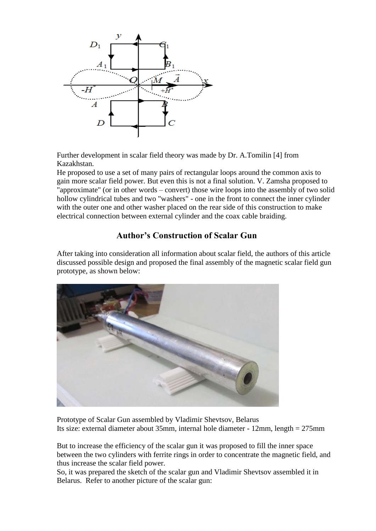

Further development in scalar field theory was made by Dr. A.Tomilin [4] from Kazakhstan.

He proposed to use a set of many pairs of rectangular loops around the common axis to gain more scalar field power. But even this is not a final solution. V. Zamsha proposed to "approximate" (or in other words – convert) those wire loops into the assembly of two solid hollow cylindrical tubes and two "washers" - one in the front to connect the inner cylinder with the outer one and other washer placed on the rear side of this construction to make electrical connection between external cylinder and the coax cable braiding.

### **Author's Construction of Scalar Gun**

After taking into consideration all information about scalar field, the authors of this article discussed possible design and proposed the final assembly of the magnetic scalar field gun prototype, as shown below:



Prototype of Scalar Gun assembled by Vladimir Shevtsov, Belarus Its size: external diameter about 35mm, internal hole diameter - 12mm, length = 275mm

But to increase the efficiency of the scalar gun it was proposed to fill the inner space between the two cylinders with ferrite rings in order to concentrate the magnetic field, and thus increase the scalar field power.

So, it was prepared the sketch of the scalar gun and Vladimir Shevtsov assembled it in Belarus. Refer to another picture of the scalar gun: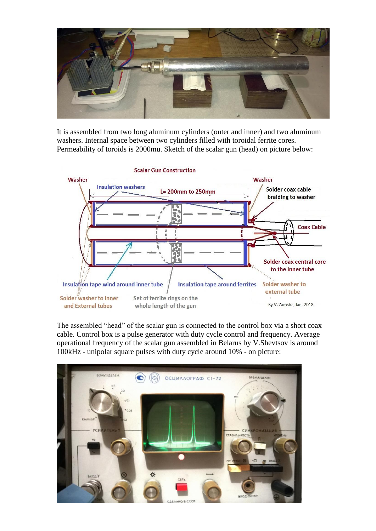

It is assembled from two long aluminum cylinders (outer and inner) and two aluminum washers. Internal space between two cylinders filled with toroidal ferrite cores. Permeability of toroids is 2000mu. Sketch of the scalar gun (head) on picture below:



The assembled "head" of the scalar gun is connected to the control box via a short coax cable. Control box is a pulse generator with duty cycle control and frequency. Average operational frequency of the scalar gun assembled in Belarus by V.Shevtsov is around 100kHz - unipolar square pulses with duty cycle around 10% - on picture:

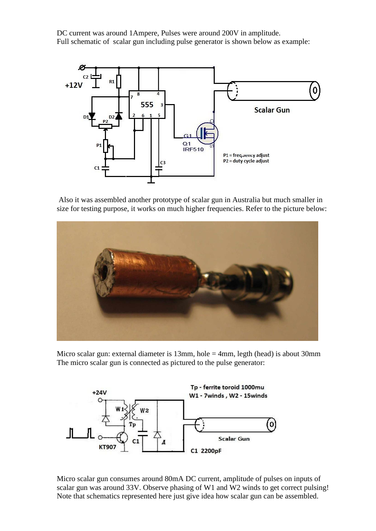DC current was around 1Ampere, Pulses were around 200V in amplitude. Full schematic of scalar gun including pulse generator is shown below as example:



Also it was assembled another prototype of scalar gun in Australia but much smaller in size for testing purpose, it works on much higher frequencies. Refer to the picture below:



Micro scalar gun: external diameter is 13mm, hole = 4mm, legth (head) is about 30mm The micro scalar gun is connected as pictured to the pulse generator:



Micro scalar gun consumes around 80mA DC current, amplitude of pulses on inputs of scalar gun was around 33V. Observe phasing of W1 and W2 winds to get correct pulsing! Note that schematics represented here just give idea how scalar gun can be assembled.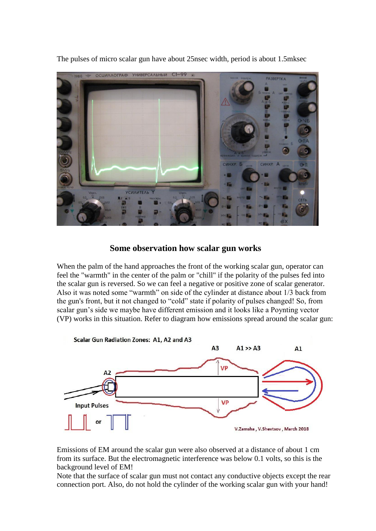

The pulses of micro scalar gun have about 25nsec width, period is about 1.5mksec

#### **Some observation how scalar gun works**

When the palm of the hand approaches the front of the working scalar gun, operator can feel the "warmth" in the center of the palm or "chill" if the polarity of the pulses fed into the scalar gun is reversed. So we can feel a negative or positive zone of scalar generator. Also it was noted some "warmth" on side of the cylinder at distance about 1/3 back from the gun's front, but it not changed to "cold" state if polarity of pulses changed! So, from scalar gun's side we maybe have different emission and it looks like a Poynting vector (VP) works in this situation. Refer to diagram how emissions spread around the scalar gun:



Emissions of EM around the scalar gun were also observed at a distance of about 1 cm from its surface. But the electromagnetic interference was below 0.1 volts, so this is the background level of EM!

Note that the surface of scalar gun must not contact any conductive objects except the rear connection port. Also, do not hold the cylinder of the working scalar gun with your hand!